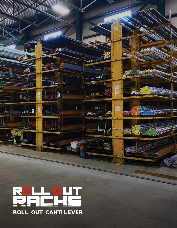REI<br>REI FLH<br>1924 **ROLL OUT CANTILEVER**

Milli

1

**STATISTICS** 

atin a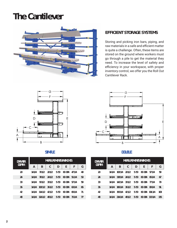# **The Cantilever**



### **EFFICIENT STORAGE SYSTEMS**

Storing and picking iron bars, piping, and raw materials in a safe and efficient matter is quite a challenge. Often, these items are stored on the ground where workers must go through a pile to get the material they need. To increase the level of safety and efficiency in your workspace, with proper inventory control, we offer you the Roll Out Cantilever Rack.





| <b>DRAWER</b><br><b>DEPTH</b> | <b>MEASUREMENTS IN INCHES</b> |         |        |          |            |        |    |
|-------------------------------|-------------------------------|---------|--------|----------|------------|--------|----|
|                               | A                             | B       | C      | D        | E          | F      | G  |
| 20                            | 14 1/4                        | 70 1/2  | 20 1/2 | $5 - 50$ | 60-184     | 47 1/4 | 49 |
| 24                            | 14 1/4                        | 78 1/2  | 24 1/2 | $5 - 50$ | $60 - 184$ | 51 1/4 | 53 |
| 30                            | 14 1/4                        | 901/2   | 301/2  | $5 - 50$ | 60-184     | 57 1/4 | 59 |
| 36                            | 14 1/4                        | 102 1/2 | 361/2  | $5 - 50$ | $60 - 184$ | 63 1/4 | 65 |
| 42                            | 14 1/4                        | 114 1/2 | 42 1/2 | $5 - 50$ | 60-184     | 69 1/4 | 71 |
| 48                            | 14 1/4                        | 126 1/2 | 48 1/2 | $5 - 50$ | 60-184     | 75 1/4 | 77 |



| <b>DRAWER</b><br><b>DEPTH</b> | <b>MEASUREMENTS IN INCHES</b> |         |        |          |            |         |     |
|-------------------------------|-------------------------------|---------|--------|----------|------------|---------|-----|
|                               | A                             | B       | C      | D        | E          | F       | G   |
| 20                            | 14 1/4                        | 102 1/4 | 20 1/2 | $5 - 50$ | 60-184     | 57 1/4  | 59  |
| 24                            | 14 1/4                        | 118 1/4 | 24 1/2 | $5 - 50$ | 60-184     | 65 1/4  | 67  |
| 30                            | 14 1/4                        | 142 1/4 | 301/2  | $5 - 50$ | 60-184     | 77 1/4  | 79  |
| 36                            | 14 1/4                        | 166 1/4 | 361/2  | $5 - 50$ | $60 - 184$ | 89 1/4  | 91  |
| 42                            | 14 1/4                        | 190 1/4 | 42 1/2 | $5 - 50$ | 60-184     | 101 1/4 | 103 |
| 48                            | 14 1/4                        | 214 1/4 | 48 1/2 | $5 - 50$ | 60-184     | 113 1/4 | 115 |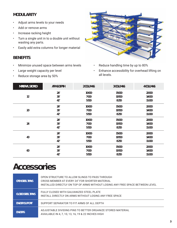#### **MODULARITY**

- Adjust arms levels to your needs
- Add or remove arms
- Increase racking height
- Turn a single unit in to a double unit without wasting any parts.
- Easily add extra columns for longer material

#### **BENEFITS**

- Minimize unused space between arms levels
- Large weight capacity per level
- Reduce storage area by 50%



- Reduce handling time by up to 80%
- Enhance accessibility for overhead lifting on all levels.

| <b>MATERIAL STORED</b> | <b>ARMS DEPTH</b> | 2 COLUMNS | 3 COLUMNS | <b>4 COLUMNS</b> |
|------------------------|-------------------|-----------|-----------|------------------|
|                        | 24"               | 10 000    | 15 000    | 20 000           |
| 12'                    | 36"               | 7000      | 10 500    | 14 000           |
|                        | 42"               | 5500      | 8 2 5 0   | 11 000           |
|                        | 24"               | 10 000    | 15 000    | 20 000           |
| 20'                    | 36"               | 7000      | 10 500    | 14 000           |
|                        | 42"               | 5 5 0 0   | 8 2 5 0   | 11 000           |
| 24'                    | 24"               | 10 000    | 15 000    | 20 000           |
|                        | 36"               | 7000      | 10 500    | 14 000           |
|                        | 42"               | 5 5 0 0   | 8 2 5 0   | 11 000           |
|                        | 24"               | 10 000    | 15 000    | 20 000           |
| 40'                    | 36"               | 7000      | 10 500    | 14 000           |
|                        | 42"               | 5 5 0 0   | 8 2 5 0   | 11 000           |
| 60'                    | 24"               | 10 000    | 15 000    | 20 000           |
|                        | 36"               | 7 000     | 10 500    | 14 000           |
|                        | 42"               | 5500      | 8 2 5 0   | 11 000           |

## **Accessories**

| <b>OPEN STEEL TRAYS</b>   | OPEN STRUCTURE TO ALLOW SLINGS TO PASS THROUGH<br>CROSS MEMBER AT EVERY 24" FOR SHORTER MATERIAL<br>INSTALLED DIRECTLY ON TOP OF ARMS WITHOUT LOSING ANY FREE SPACE BETWEEN LEVEL |
|---------------------------|-----------------------------------------------------------------------------------------------------------------------------------------------------------------------------------|
| <b>CLOSED STEEL TRAYS</b> | FULLY CLOSED WITH GALVANIZED STEFL PLATE<br>INSTALL DIRECTLY ON ARMS WITHOUT LOSING ANY FREE SPACE                                                                                |
| <b>DIVIDER SUPPORT</b>    | SUPPORT SEPARATOR TO FIT ARMS OF ALL DEPTH                                                                                                                                        |
| <b>DIVIDERS</b>           | ADJUSTABLE DIVIDING PINS TO BETTER ORGANIZE STORED MATERIAL<br>AVAILABLE IN 4, 7, 10, 13, 16, 19 & 22 INCHES HIGH                                                                 |